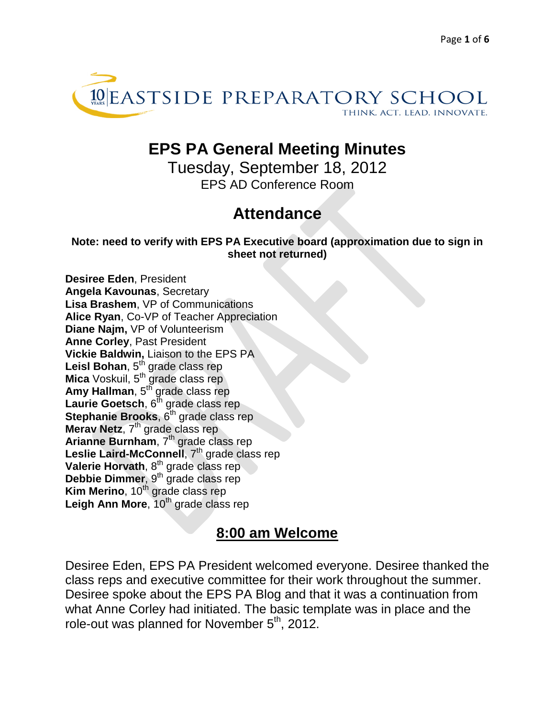

# **EPS PA General Meeting Minutes**

Tuesday, September 18, 2012 EPS AD Conference Room

# **Attendance**

**Note: need to verify with EPS PA Executive board (approximation due to sign in sheet not returned)**

**Desiree Eden**, President **Angela Kavounas**, Secretary **Lisa Brashem**, VP of Communications **Alice Ryan**, Co-VP of Teacher Appreciation **Diane Najm,** VP of Volunteerism **Anne Corley**, Past President **Vickie Baldwin,** Liaison to the EPS PA Leisl Bohan, 5<sup>th</sup> grade class rep **Mica** Voskuil, 5<sup>th</sup> grade class rep **Amy Hallman**, 5<sup>th</sup> grade class rep Laurie Goetsch, 6<sup>th</sup> grade class rep **Stephanie Brooks**, 6<sup>th</sup> grade class rep **Merav Netz**, 7<sup>th</sup> grade class rep Arianne Burnham, 7<sup>th</sup> grade class rep Leslie Laird-McConnell, 7<sup>th</sup> grade class rep **Valerie Horvath**, 8<sup>th</sup> grade class rep **Debbie Dimmer**, 9<sup>th</sup> grade class rep **Kim Merino**, 10<sup>th</sup> grade class rep Leigh Ann More, 10<sup>th</sup> grade class rep

## **8:00 am Welcome**

Desiree Eden, EPS PA President welcomed everyone. Desiree thanked the class reps and executive committee for their work throughout the summer. Desiree spoke about the EPS PA Blog and that it was a continuation from what Anne Corley had initiated. The basic template was in place and the role-out was planned for November 5<sup>th</sup>, 2012.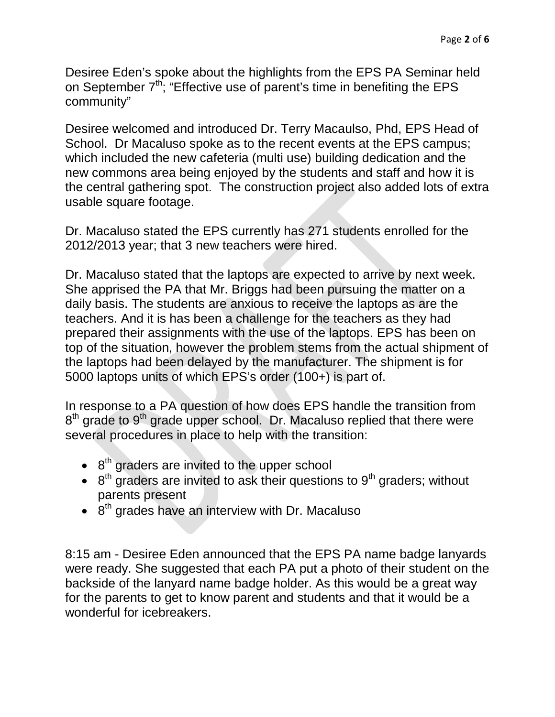Desiree Eden's spoke about the highlights from the EPS PA Seminar held on September  $7<sup>th</sup>$ ; "Effective use of parent's time in benefiting the EPS community"

Desiree welcomed and introduced Dr. Terry Macaulso, Phd, EPS Head of School. Dr Macaluso spoke as to the recent events at the EPS campus; which included the new cafeteria (multi use) building dedication and the new commons area being enjoyed by the students and staff and how it is the central gathering spot. The construction project also added lots of extra usable square footage.

Dr. Macaluso stated the EPS currently has 271 students enrolled for the 2012/2013 year; that 3 new teachers were hired.

Dr. Macaluso stated that the laptops are expected to arrive by next week. She apprised the PA that Mr. Briggs had been pursuing the matter on a daily basis. The students are anxious to receive the laptops as are the teachers. And it is has been a challenge for the teachers as they had prepared their assignments with the use of the laptops. EPS has been on top of the situation, however the problem stems from the actual shipment of the laptops had been delayed by the manufacturer. The shipment is for 5000 laptops units of which EPS's order (100+) is part of.

In response to a PA question of how does EPS handle the transition from  $8<sup>th</sup>$  grade to  $9<sup>th</sup>$  grade upper school. Dr. Macaluso replied that there were several procedures in place to help with the transition:

- $\cdot$  8<sup>th</sup> graders are invited to the upper school
- $\bullet$  8<sup>th</sup> graders are invited to ask their questions to 9<sup>th</sup> graders; without parents present
- $\bullet$  8<sup>th</sup> grades have an interview with Dr. Macaluso

8:15 am - Desiree Eden announced that the EPS PA name badge lanyards were ready. She suggested that each PA put a photo of their student on the backside of the lanyard name badge holder. As this would be a great way for the parents to get to know parent and students and that it would be a wonderful for icebreakers.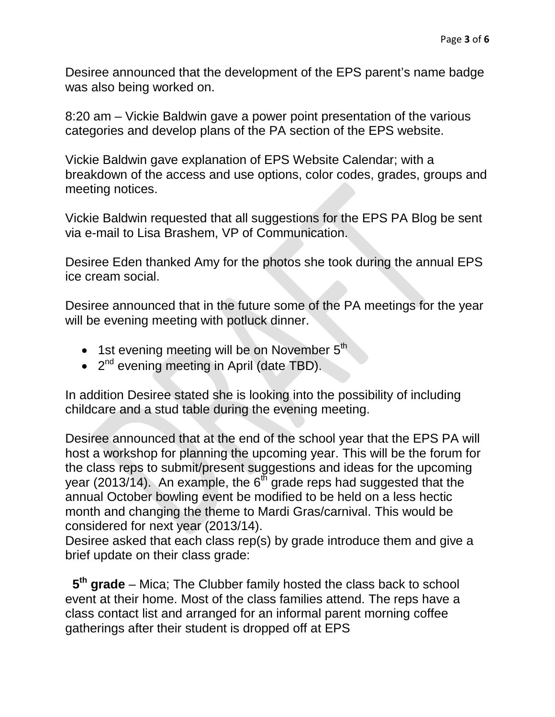Desiree announced that the development of the EPS parent's name badge was also being worked on.

8:20 am – Vickie Baldwin gave a power point presentation of the various categories and develop plans of the PA section of the EPS website.

Vickie Baldwin gave explanation of EPS Website Calendar; with a breakdown of the access and use options, color codes, grades, groups and meeting notices.

Vickie Baldwin requested that all suggestions for the EPS PA Blog be sent via e-mail to Lisa Brashem, VP of Communication.

Desiree Eden thanked Amy for the photos she took during the annual EPS ice cream social.

Desiree announced that in the future some of the PA meetings for the year will be evening meeting with potluck dinner.

- $\bullet$  1st evening meeting will be on November  $5<sup>th</sup>$
- 2<sup>nd</sup> evening meeting in April (date TBD).

In addition Desiree stated she is looking into the possibility of including childcare and a stud table during the evening meeting.

Desiree announced that at the end of the school year that the EPS PA will host a workshop for planning the upcoming year. This will be the forum for the class reps to submit/present suggestions and ideas for the upcoming year (2013/14). An example, the  $6^{th}$  grade reps had suggested that the annual October bowling event be modified to be held on a less hectic month and changing the theme to Mardi Gras/carnival. This would be considered for next year (2013/14).

Desiree asked that each class rep(s) by grade introduce them and give a brief update on their class grade:

 **5th grade** – Mica; The Clubber family hosted the class back to school event at their home. Most of the class families attend. The reps have a class contact list and arranged for an informal parent morning coffee gatherings after their student is dropped off at EPS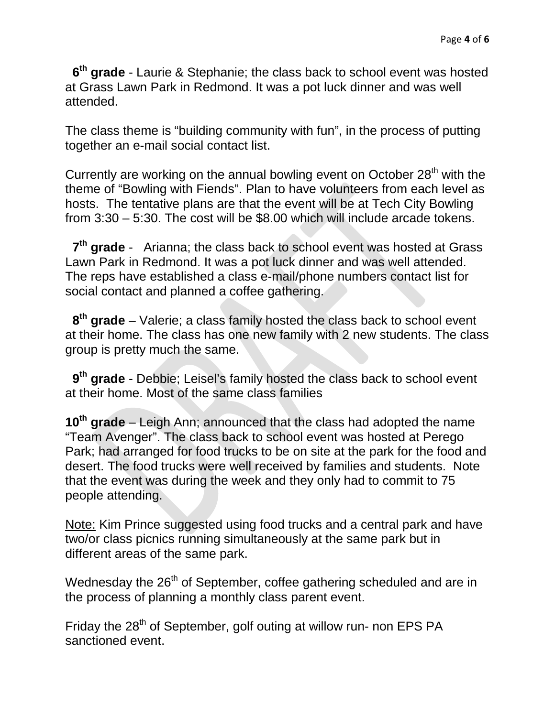**6th grade** - Laurie & Stephanie; the class back to school event was hosted at Grass Lawn Park in Redmond. It was a pot luck dinner and was well attended.

The class theme is "building community with fun", in the process of putting together an e-mail social contact list.

Currently are working on the annual bowling event on October 28<sup>th</sup> with the theme of "Bowling with Fiends". Plan to have volunteers from each level as hosts. The tentative plans are that the event will be at Tech City Bowling from 3:30 – 5:30. The cost will be \$8.00 which will include arcade tokens.

**7th grade** - Arianna; the class back to school event was hosted at Grass Lawn Park in Redmond. It was a pot luck dinner and was well attended. The reps have established a class e-mail/phone numbers contact list for social contact and planned a coffee gathering.

 **8th grade** – Valerie; a class family hosted the class back to school event at their home. The class has one new family with 2 new students. The class group is pretty much the same.

 **9th grade** - Debbie; Leisel's family hosted the class back to school event at their home. Most of the same class families

**10th grade** – Leigh Ann; announced that the class had adopted the name "Team Avenger". The class back to school event was hosted at Perego Park; had arranged for food trucks to be on site at the park for the food and desert. The food trucks were well received by families and students. Note that the event was during the week and they only had to commit to 75 people attending.

Note: Kim Prince suggested using food trucks and a central park and have two/or class picnics running simultaneously at the same park but in different areas of the same park.

Wednesday the 26<sup>th</sup> of September, coffee gathering scheduled and are in the process of planning a monthly class parent event.

Friday the 28<sup>th</sup> of September, golf outing at willow run- non EPS PA sanctioned event.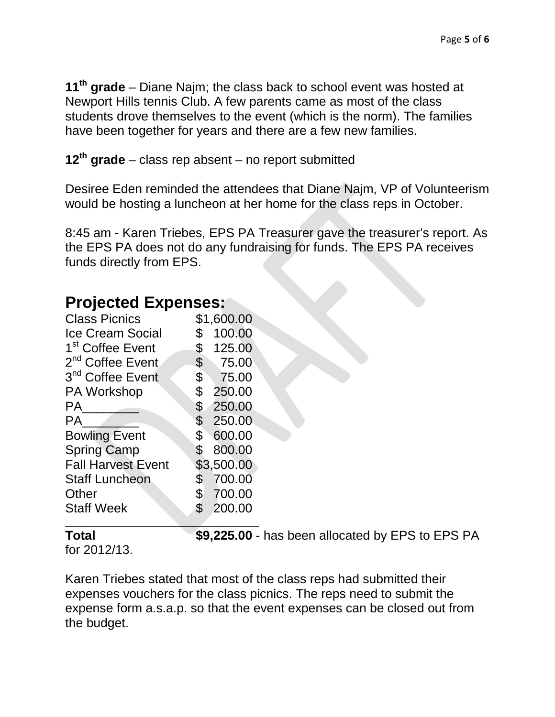**11th grade** – Diane Najm; the class back to school event was hosted at Newport Hills tennis Club. A few parents came as most of the class students drove themselves to the event (which is the norm). The families have been together for years and there are a few new families.

**12th grade** – class rep absent – no report submitted

Desiree Eden reminded the attendees that Diane Najm, VP of Volunteerism would be hosting a luncheon at her home for the class reps in October.

8:45 am - Karen Triebes, EPS PA Treasurer gave the treasurer's report. As the EPS PA does not do any fundraising for funds. The EPS PA receives funds directly from EPS.

## **Projected Expenses:**

| <b>Class Picnics</b>         |                           | \$1,600.00 |
|------------------------------|---------------------------|------------|
| <b>Ice Cream Social</b>      | \$                        | 100.00     |
| 1 <sup>st</sup> Coffee Event | \$                        | 125.00     |
| 2 <sup>nd</sup> Coffee Event | $\boldsymbol{\mathsf{S}}$ | 75.00      |
| 3 <sup>nd</sup> Coffee Event | $\boldsymbol{\mathsf{S}}$ | 75.00      |
| PA Workshop                  | \$                        | 250.00     |
| РA                           | $\mathsf S$               | 250.00     |
| PA                           |                           | \$250.00   |
| <b>Bowling Event</b>         | $\text{\$\$}$             | 600.00     |
| <b>Spring Camp</b>           | \$                        | 800.00     |
| <b>Fall Harvest Event</b>    |                           | \$3,500.00 |
| <b>Staff Luncheon</b>        | \$                        | 700.00     |
| Other                        |                           | \$700.00   |
| <b>Staff Week</b>            | $\mathfrak{F}$            | 200.00     |
|                              |                           |            |

**Total 69,225.00** - has been allocated by EPS to EPS PA

for 2012/13.

Karen Triebes stated that most of the class reps had submitted their expenses vouchers for the class picnics. The reps need to submit the expense form a.s.a.p. so that the event expenses can be closed out from the budget.